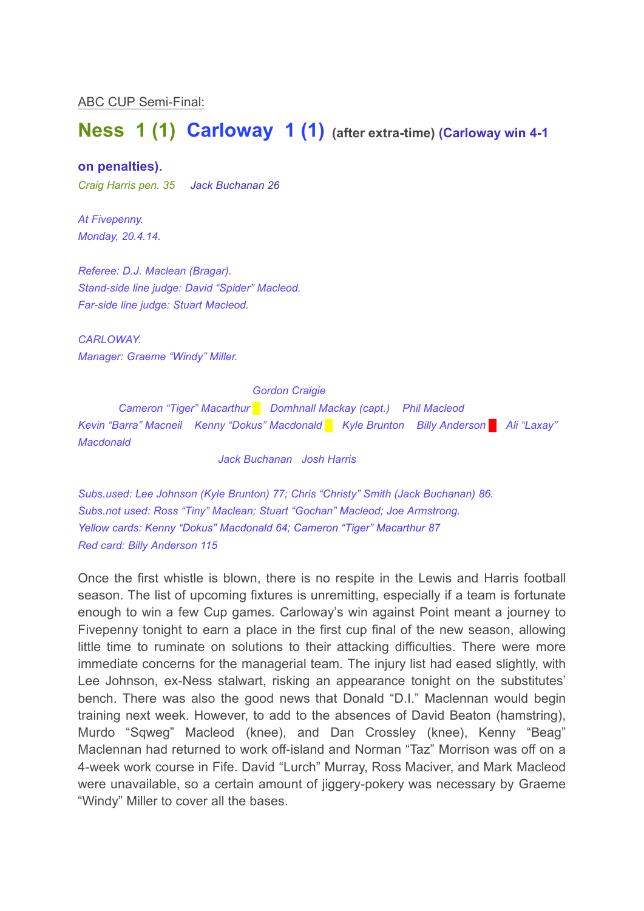ABC CUP Semi-Final:

# **Ness 1 (1) Carloway 1 (1) (after extra-time) (Carloway win 4-1**

#### **on penalties).**

*Craig Harris pen. 35 Jack Buchanan 26*

*At Fivepenny. Monday, 20.4.14.*

*Referee: D.J. Maclean (Bragar). Stand-side line judge: David "Spider" Macleod. Far-side line judge: Stuart Macleod.*

*CARLOWAY. Manager: Graeme "Windy" Miller.*

*Gordon Craigie*

*Cameron "Tiger" Macarthur █ Domhnall Mackay (capt.) Phil Macleod Kevin "Barra" Macneil Kenny "Dokus" Macdonald █ Kyle Brunton Billy Anderson █ Ali "Laxay" Macdonald*

*Jack Buchanan Josh Harris*

*Subs.used: Lee Johnson (Kyle Brunton) 77; Chris "Christy" Smith (Jack Buchanan) 86. Subs.not used: Ross "Tiny" Maclean; Stuart "Gochan" Macleod; Joe Armstrong. Yellow cards: Kenny "Dokus" Macdonald 64; Cameron "Tiger" Macarthur 87 Red card: Billy Anderson 115*

Once the first whistle is blown, there is no respite in the Lewis and Harris football season. The list of upcoming fixtures is unremitting, especially if a team is fortunate enough to win a few Cup games. Carloway's win against Point meant a journey to Fivepenny tonight to earn a place in the first cup final of the new season, allowing little time to ruminate on solutions to their attacking difficulties. There were more immediate concerns for the managerial team. The injury list had eased slightly, with Lee Johnson, ex-Ness stalwart, risking an appearance tonight on the substitutes' bench. There was also the good news that Donald "D.I." Maclennan would begin training next week. However, to add to the absences of David Beaton (hamstring), Murdo "Sqweg" Macleod (knee), and Dan Crossley (knee), Kenny "Beag" Maclennan had returned to work off-island and Norman "Taz" Morrison was off on a 4-week work course in Fife. David "Lurch" Murray, Ross Maciver, and Mark Macleod were unavailable, so a certain amount of jiggery-pokery was necessary by Graeme "Windy" Miller to cover all the bases.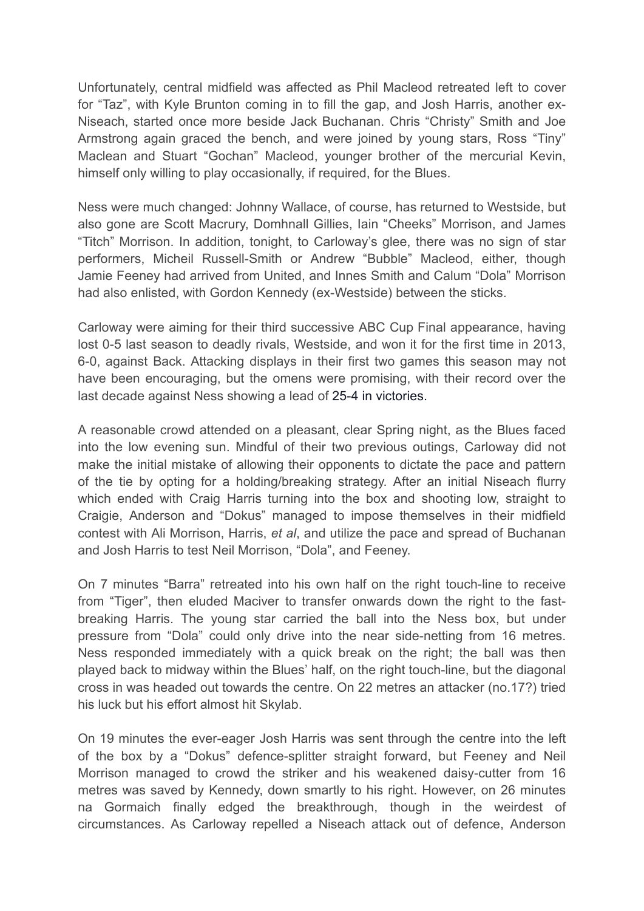Unfortunately, central midfield was affected as Phil Macleod retreated left to cover for "Taz", with Kyle Brunton coming in to fill the gap, and Josh Harris, another ex-Niseach, started once more beside Jack Buchanan. Chris "Christy" Smith and Joe Armstrong again graced the bench, and were joined by young stars, Ross "Tiny" Maclean and Stuart "Gochan" Macleod, younger brother of the mercurial Kevin, himself only willing to play occasionally, if required, for the Blues.

Ness were much changed: Johnny Wallace, of course, has returned to Westside, but also gone are Scott Macrury, Domhnall Gillies, Iain "Cheeks" Morrison, and James "Titch" Morrison. In addition, tonight, to Carloway's glee, there was no sign of star performers, Micheil Russell-Smith or Andrew "Bubble" Macleod, either, though Jamie Feeney had arrived from United, and Innes Smith and Calum "Dola" Morrison had also enlisted, with Gordon Kennedy (ex-Westside) between the sticks.

Carloway were aiming for their third successive ABC Cup Final appearance, having lost 0-5 last season to deadly rivals, Westside, and won it for the first time in 2013, 6-0, against Back. Attacking displays in their first two games this season may not have been encouraging, but the omens were promising, with their record over the last decade against Ness showing a lead of 25-4 in victories.

A reasonable crowd attended on a pleasant, clear Spring night, as the Blues faced into the low evening sun. Mindful of their two previous outings, Carloway did not make the initial mistake of allowing their opponents to dictate the pace and pattern of the tie by opting for a holding/breaking strategy. After an initial Niseach flurry which ended with Craig Harris turning into the box and shooting low, straight to Craigie, Anderson and "Dokus" managed to impose themselves in their midfield contest with Ali Morrison, Harris, *et al*, and utilize the pace and spread of Buchanan and Josh Harris to test Neil Morrison, "Dola", and Feeney.

On 7 minutes "Barra" retreated into his own half on the right touch-line to receive from "Tiger", then eluded Maciver to transfer onwards down the right to the fastbreaking Harris. The young star carried the ball into the Ness box, but under pressure from "Dola" could only drive into the near side-netting from 16 metres. Ness responded immediately with a quick break on the right; the ball was then played back to midway within the Blues' half, on the right touch-line, but the diagonal cross in was headed out towards the centre. On 22 metres an attacker (no.17?) tried his luck but his effort almost hit Skylab.

On 19 minutes the ever-eager Josh Harris was sent through the centre into the left of the box by a "Dokus" defence-splitter straight forward, but Feeney and Neil Morrison managed to crowd the striker and his weakened daisy-cutter from 16 metres was saved by Kennedy, down smartly to his right. However, on 26 minutes na Gormaich finally edged the breakthrough, though in the weirdest of circumstances. As Carloway repelled a Niseach attack out of defence, Anderson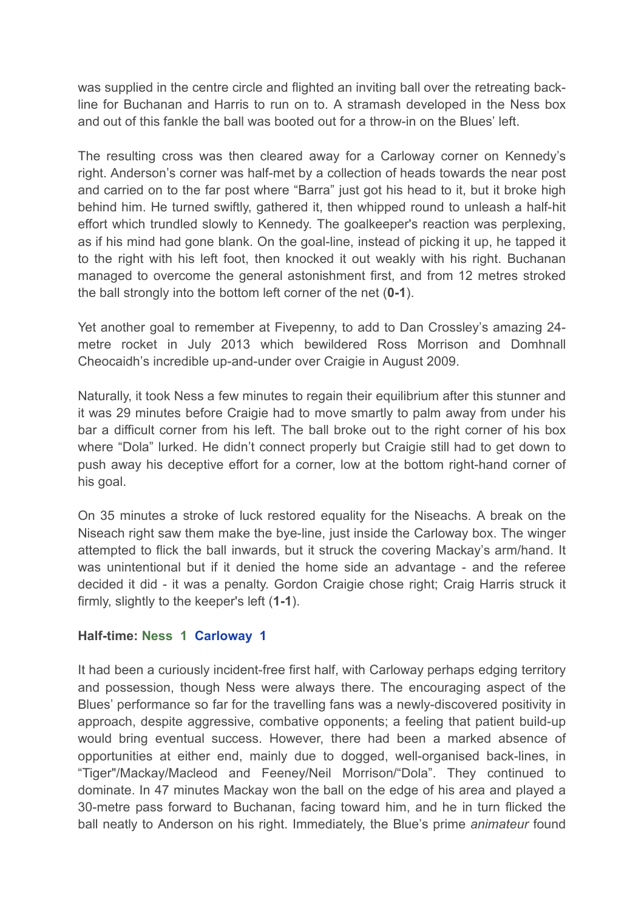was supplied in the centre circle and flighted an inviting ball over the retreating backline for Buchanan and Harris to run on to. A stramash developed in the Ness box and out of this fankle the ball was booted out for a throw-in on the Blues' left.

The resulting cross was then cleared away for a Carloway corner on Kennedy's right. Anderson's corner was half-met by a collection of heads towards the near post and carried on to the far post where "Barra" just got his head to it, but it broke high behind him. He turned swiftly, gathered it, then whipped round to unleash a half-hit effort which trundled slowly to Kennedy. The goalkeeper's reaction was perplexing, as if his mind had gone blank. On the goal-line, instead of picking it up, he tapped it to the right with his left foot, then knocked it out weakly with his right. Buchanan managed to overcome the general astonishment first, and from 12 metres stroked the ball strongly into the bottom left corner of the net (**0-1**).

Yet another goal to remember at Fivepenny, to add to Dan Crossley's amazing 24 metre rocket in July 2013 which bewildered Ross Morrison and Domhnall Cheocaidh's incredible up-and-under over Craigie in August 2009.

Naturally, it took Ness a few minutes to regain their equilibrium after this stunner and it was 29 minutes before Craigie had to move smartly to palm away from under his bar a difficult corner from his left. The ball broke out to the right corner of his box where "Dola" lurked. He didn't connect properly but Craigie still had to get down to push away his deceptive effort for a corner, low at the bottom right-hand corner of his goal.

On 35 minutes a stroke of luck restored equality for the Niseachs. A break on the Niseach right saw them make the bye-line, just inside the Carloway box. The winger attempted to flick the ball inwards, but it struck the covering Mackay's arm/hand. It was unintentional but if it denied the home side an advantage - and the referee decided it did - it was a penalty. Gordon Craigie chose right; Craig Harris struck it firmly, slightly to the keeper's left (**1-1**).

### **Half-time: Ness 1 Carloway 1**

It had been a curiously incident-free first half, with Carloway perhaps edging territory and possession, though Ness were always there. The encouraging aspect of the Blues' performance so far for the travelling fans was a newly-discovered positivity in approach, despite aggressive, combative opponents; a feeling that patient build-up would bring eventual success. However, there had been a marked absence of opportunities at either end, mainly due to dogged, well-organised back-lines, in "Tiger"/Mackay/Macleod and Feeney/Neil Morrison/"Dola". They continued to dominate. In 47 minutes Mackay won the ball on the edge of his area and played a 30-metre pass forward to Buchanan, facing toward him, and he in turn flicked the ball neatly to Anderson on his right. Immediately, the Blue's prime *animateur* found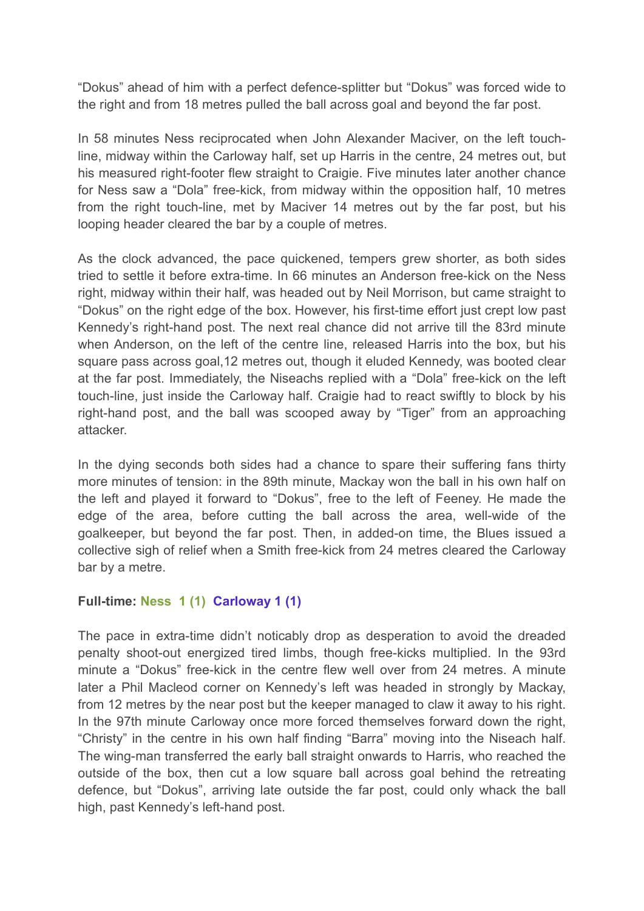"Dokus" ahead of him with a perfect defence-splitter but "Dokus" was forced wide to the right and from 18 metres pulled the ball across goal and beyond the far post.

In 58 minutes Ness reciprocated when John Alexander Maciver, on the left touchline, midway within the Carloway half, set up Harris in the centre, 24 metres out, but his measured right-footer flew straight to Craigie. Five minutes later another chance for Ness saw a "Dola" free-kick, from midway within the opposition half, 10 metres from the right touch-line, met by Maciver 14 metres out by the far post, but his looping header cleared the bar by a couple of metres.

As the clock advanced, the pace quickened, tempers grew shorter, as both sides tried to settle it before extra-time. In 66 minutes an Anderson free-kick on the Ness right, midway within their half, was headed out by Neil Morrison, but came straight to "Dokus" on the right edge of the box. However, his first-time effort just crept low past Kennedy's right-hand post. The next real chance did not arrive till the 83rd minute when Anderson, on the left of the centre line, released Harris into the box, but his square pass across goal,12 metres out, though it eluded Kennedy, was booted clear at the far post. Immediately, the Niseachs replied with a "Dola" free-kick on the left touch-line, just inside the Carloway half. Craigie had to react swiftly to block by his right-hand post, and the ball was scooped away by "Tiger" from an approaching attacker.

In the dying seconds both sides had a chance to spare their suffering fans thirty more minutes of tension: in the 89th minute, Mackay won the ball in his own half on the left and played it forward to "Dokus", free to the left of Feeney. He made the edge of the area, before cutting the ball across the area, well-wide of the goalkeeper, but beyond the far post. Then, in added-on time, the Blues issued a collective sigh of relief when a Smith free-kick from 24 metres cleared the Carloway bar by a metre.

## **Full-time: Ness 1 (1) Carloway 1 (1)**

The pace in extra-time didn't noticably drop as desperation to avoid the dreaded penalty shoot-out energized tired limbs, though free-kicks multiplied. In the 93rd minute a "Dokus" free-kick in the centre flew well over from 24 metres. A minute later a Phil Macleod corner on Kennedy's left was headed in strongly by Mackay, from 12 metres by the near post but the keeper managed to claw it away to his right. In the 97th minute Carloway once more forced themselves forward down the right, "Christy" in the centre in his own half finding "Barra" moving into the Niseach half. The wing-man transferred the early ball straight onwards to Harris, who reached the outside of the box, then cut a low square ball across goal behind the retreating defence, but "Dokus", arriving late outside the far post, could only whack the ball high, past Kennedy's left-hand post.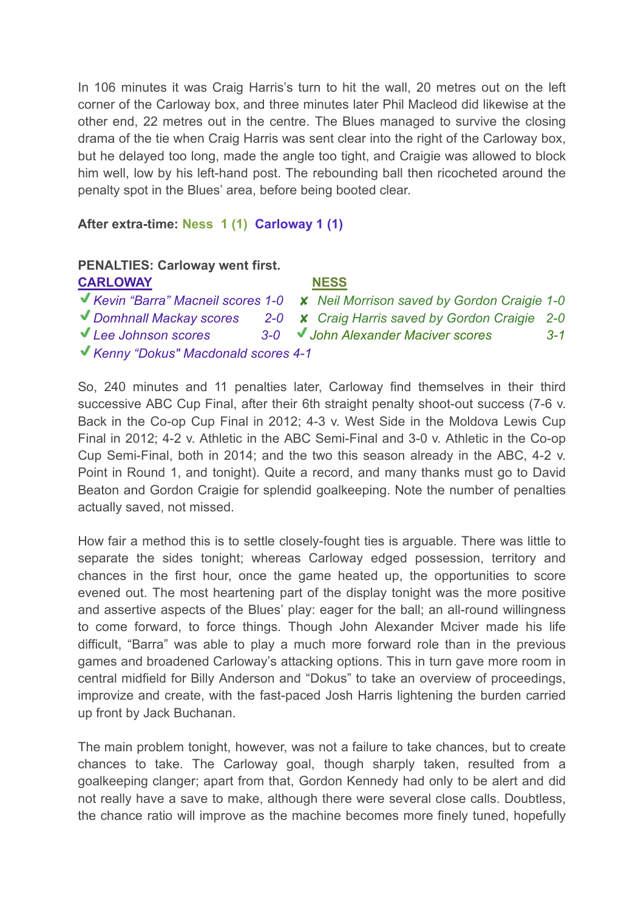In 106 minutes it was Craig Harris's turn to hit the wall, 20 metres out on the left corner of the Carloway box, and three minutes later Phil Macleod did likewise at the other end, 22 metres out in the centre. The Blues managed to survive the closing drama of the tie when Craig Harris was sent clear into the right of the Carloway box, but he delayed too long, made the angle too tight, and Craigie was allowed to block him well, low by his left-hand post. The rebounding ball then ricocheted around the penalty spot in the Blues' area, before being booted clear.

#### **After extra-time: Ness 1 (1) Carloway 1 (1)**

| <b>PENALTIES: Carloway went first.</b> |  |                                                                                              |         |
|----------------------------------------|--|----------------------------------------------------------------------------------------------|---------|
| <b>CARLOWAY</b>                        |  | <b>NESS</b>                                                                                  |         |
|                                        |  | <b>V</b> Kevin "Barra" Macneil scores 1-0 <b>x</b> Neil Morrison saved by Gordon Craigie 1-0 |         |
|                                        |  | Domhnall Mackay scores 2-0 X Craig Harris saved by Gordon Craigie 2-0                        |         |
| Lee Johnson scores                     |  | 3-0 John Alexander Maciver scores                                                            | $3 - 1$ |
| Kenny "Dokus" Macdonald scores 4-1     |  |                                                                                              |         |

So, 240 minutes and 11 penalties later, Carloway find themselves in their third successive ABC Cup Final, after their 6th straight penalty shoot-out success (7-6 v. Back in the Co-op Cup Final in 2012; 4-3 v. West Side in the Moldova Lewis Cup Final in 2012; 4-2 v. Athletic in the ABC Semi-Final and 3-0 v. Athletic in the Co-op Cup Semi-Final, both in 2014; and the two this season already in the ABC, 4-2 v. Point in Round 1, and tonight). Quite a record, and many thanks must go to David Beaton and Gordon Craigie for splendid goalkeeping. Note the number of penalties actually saved, not missed.

How fair a method this is to settle closely-fought ties is arguable. There was little to separate the sides tonight; whereas Carloway edged possession, territory and chances in the first hour, once the game heated up, the opportunities to score evened out. The most heartening part of the display tonight was the more positive and assertive aspects of the Blues' play: eager for the ball; an all-round willingness to come forward, to force things. Though John Alexander Mciver made his life difficult, "Barra" was able to play a much more forward role than in the previous games and broadened Carloway's attacking options. This in turn gave more room in central midfield for Billy Anderson and "Dokus" to take an overview of proceedings, improvize and create, with the fast-paced Josh Harris lightening the burden carried up front by Jack Buchanan.

The main problem tonight, however, was not a failure to take chances, but to create chances to take. The Carloway goal, though sharply taken, resulted from a goalkeeping clanger; apart from that, Gordon Kennedy had only to be alert and did not really have a save to make, although there were several close calls. Doubtless, the chance ratio will improve as the machine becomes more finely tuned, hopefully